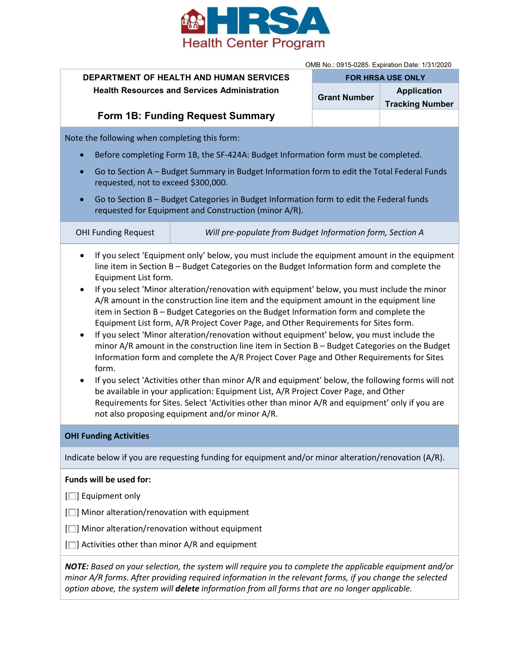

OMB No.: 0915-0285. Expiration Date: 1/31/2020

| <b>DEPARTMENT OF HEALTH AND HUMAN SERVICES</b>      | <b>FOR HRSA USE ONLY</b> |                                              |
|-----------------------------------------------------|--------------------------|----------------------------------------------|
| <b>Health Resources and Services Administration</b> | <b>Grant Number</b>      | <b>Application</b><br><b>Tracking Number</b> |
| <b>Form 1B: Funding Request Summary</b>             |                          |                                              |
|                                                     |                          |                                              |

Note the following when completing this form:

- Before completing Form 1B, the SF-424A: Budget Information form must be completed.
- Go to Section A Budget Summary in Budget Information form to edit the Total Federal Funds requested, not to exceed \$300,000.
- Go to Section B Budget Categories in Budget Information form to edit the Federal funds requested for Equipment and Construction (minor A/R).

| <b>OHI Funding Request</b> | Will pre-populate from Budget Information form, Section A |
|----------------------------|-----------------------------------------------------------|
|                            |                                                           |

- If you select 'Equipment only' below, you must include the equipment amount in the equipment line item in Section B – Budget Categories on the Budget Information form and complete the Equipment List form.
- If you select 'Minor alteration/renovation with equipment' below, you must include the minor A/R amount in the construction line item and the equipment amount in the equipment line item in Section B – Budget Categories on the Budget Information form and complete the Equipment List form, A/R Project Cover Page, and Other Requirements for Sites form.
- If you select 'Minor alteration/renovation without equipment' below, you must include the minor A/R amount in the construction line item in Section B – Budget Categories on the Budget Information form and complete the A/R Project Cover Page and Other Requirements for Sites form.
- If you select 'Activities other than minor A/R and equipment' below, the following forms will not be available in your application: Equipment List, A/R Project Cover Page, and Other Requirements for Sites. Select 'Activities other than minor A/R and equipment' only if you are not also proposing equipment and/or minor A/R.

## **OHI Funding Activities**

Indicate below if you are requesting funding for equipment and/or minor alteration/renovation (A/R).

## **Funds will be used for:**

 $[\Box]$  Equipment only

- $[\Box]$  Minor alteration/renovation with equipment
- $[\Box]$  Minor alteration/renovation without equipment
- $[\Box]$  Activities other than minor A/R and equipment

*NOTE: Based on your selection, the system will require you to complete the applicable equipment and/or minor A/R forms. After providing required information in the relevant forms, if you change the selected option above, the system will delete information from all forms that are no longer applicable.*